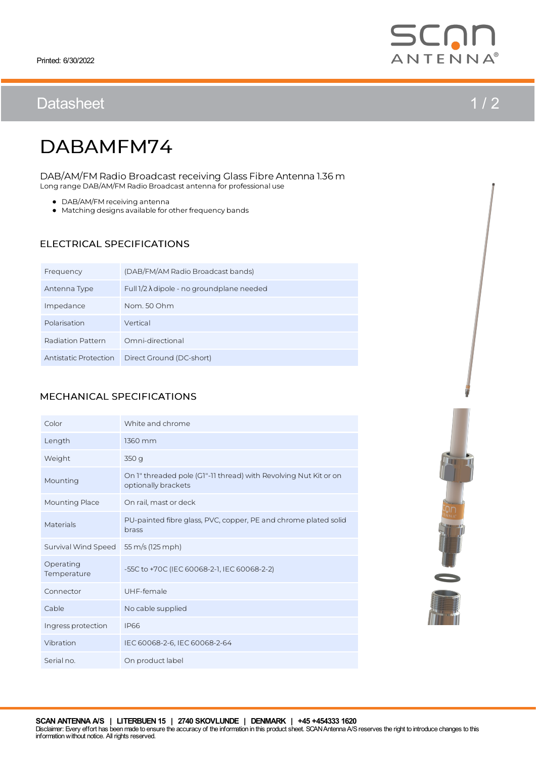# Datasheet 1/2



# DABAMFM74

Long range DAB/AM/FM Radio Broadcast antenna for professional use DAB/AM/FM Radio Broadcast receiving Glass Fibre Antenna 1.36 m

- DAB/AM/FM receiving antenna
- Matching designs available for other frequency bands

### ELECTRICAL SPECIFICATIONS

| Frequency             | (DAB/FM/AM Radio Broadcast bands)                  |
|-----------------------|----------------------------------------------------|
| Antenna Type          | Full $1/2 \lambda$ dipole - no ground plane needed |
| Impedance             | Nom. 50 Ohm                                        |
| Polarisation          | Vertical                                           |
| Radiation Pattern     | Omni-directional                                   |
| Antistatic Protection | Direct Ground (DC-short)                           |

#### MECHANICAL SPECIFICATIONS

| Color                    | White and chrome                                                                        |
|--------------------------|-----------------------------------------------------------------------------------------|
| Length                   | 1360 mm                                                                                 |
| Weight                   | 350 g                                                                                   |
| Mounting                 | On 1" threaded pole (G1"-11 thread) with Revolving Nut Kit or on<br>optionally brackets |
| <b>Mounting Place</b>    | On rail, mast or deck                                                                   |
| Materials                | PU-painted fibre glass, PVC, copper, PE and chrome plated solid<br>brass                |
| Survival Wind Speed      | 55 m/s (125 mph)                                                                        |
| Operating<br>Temperature | -55C to +70C (IEC 60068-2-1, IEC 60068-2-2)                                             |
| Connector                | UHF-female                                                                              |
| Cable                    | No cable supplied                                                                       |
| Ingress protection       | <b>IP66</b>                                                                             |
| Vibration                | IEC 60068-2-6, IEC 60068-2-64                                                           |
| Serial no.               | On product label                                                                        |